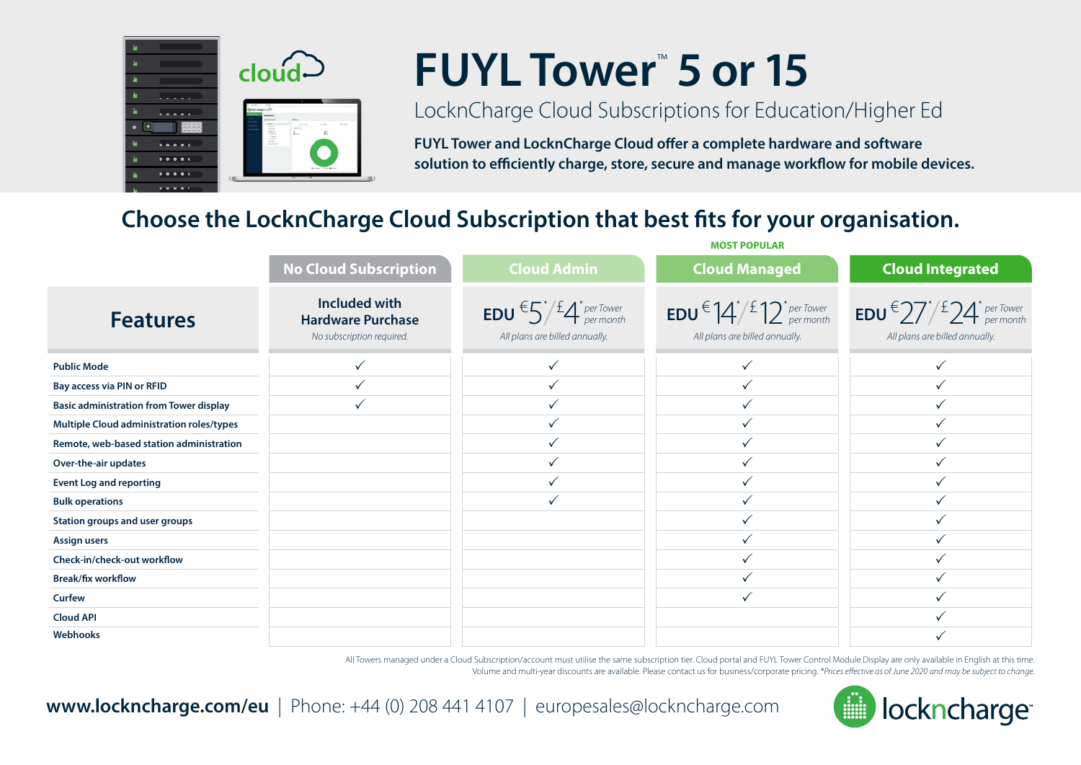

# **FUYL Tower**™  **5 or 15**

### LocknCharge Cloud Subscriptions for Education/Higher Ed

**FUYL Tower and LocknCharge Cloud offer a complete hardware and software solution to efficiently charge, store, secure and manage workflow for mobile devices.**

**MOST POPULAR**

#### **Choose the LocknCharge Cloud Subscription that best fits for your organisation.** l

|                                                | <b>No Cloud Subscription</b>                                                  | <b>Cloud Admin</b>                                                                                                                 | <b>Cloud Managed</b>                                                                                           | <b>Cloud Integrated</b>                                                                                                                                     |
|------------------------------------------------|-------------------------------------------------------------------------------|------------------------------------------------------------------------------------------------------------------------------------|----------------------------------------------------------------------------------------------------------------|-------------------------------------------------------------------------------------------------------------------------------------------------------------|
| <b>Features</b>                                | <b>Included with</b><br><b>Hardware Purchase</b><br>No subscription required. | <b>EDU</b> $\epsilon$ $5$ <sup>*</sup> $\frac{f}{f}$ $\frac{f}{f}$ <sup>*</sup> <i>per Tower</i><br>All plans are billed annually. | <b>EDU</b> $\in$ $\left 4\right>/\frac{f}{2}\right 2$ <sup>+</sup> per Tower<br>All plans are billed annually. | <b>EDU</b> <sup><math>\epsilon</math></sup> 27 <sup><i>'</i></sup> / <sup>£</sup> 24 <sup><i>'</i></sup> <i>per</i> Tower<br>All plans are billed annually. |
| <b>Public Mode</b>                             |                                                                               | $\checkmark$                                                                                                                       |                                                                                                                |                                                                                                                                                             |
| Bay access via PIN or RFID                     |                                                                               |                                                                                                                                    |                                                                                                                |                                                                                                                                                             |
| <b>Basic administration from Tower display</b> |                                                                               |                                                                                                                                    |                                                                                                                |                                                                                                                                                             |
| Multiple Cloud administration roles/types      |                                                                               | ✓                                                                                                                                  |                                                                                                                |                                                                                                                                                             |
| Remote, web-based station administration       |                                                                               | $\checkmark$                                                                                                                       |                                                                                                                |                                                                                                                                                             |
| Over-the-air updates                           |                                                                               | $\checkmark$                                                                                                                       |                                                                                                                |                                                                                                                                                             |
| <b>Event Log and reporting</b>                 |                                                                               | $\checkmark$                                                                                                                       |                                                                                                                |                                                                                                                                                             |
| <b>Bulk operations</b>                         |                                                                               | $\checkmark$                                                                                                                       |                                                                                                                |                                                                                                                                                             |
| Station groups and user groups                 |                                                                               |                                                                                                                                    |                                                                                                                |                                                                                                                                                             |
| <b>Assign users</b>                            |                                                                               |                                                                                                                                    |                                                                                                                |                                                                                                                                                             |
| Check-in/check-out workflow                    |                                                                               |                                                                                                                                    |                                                                                                                |                                                                                                                                                             |
| <b>Break/fix workflow</b>                      |                                                                               |                                                                                                                                    |                                                                                                                |                                                                                                                                                             |
| Curfew                                         |                                                                               |                                                                                                                                    |                                                                                                                |                                                                                                                                                             |
| <b>Cloud API</b>                               |                                                                               |                                                                                                                                    |                                                                                                                |                                                                                                                                                             |
| Webhooks                                       |                                                                               |                                                                                                                                    |                                                                                                                |                                                                                                                                                             |

All Towers managed under a Cloud Subscription/account must utilise the same subscription tier. Cloud portal and FUYL Tower Control Module Display are only available in English at this time. Volume and multi-year discounts are available. Please contact us for business/corporate pricing. *\*Prices effective as of June 2020 and may be subject to change.*



**www.lockncharge.com/eu** | Phone: +44 (0) 208 441 4107 | europesales@lockncharge.com